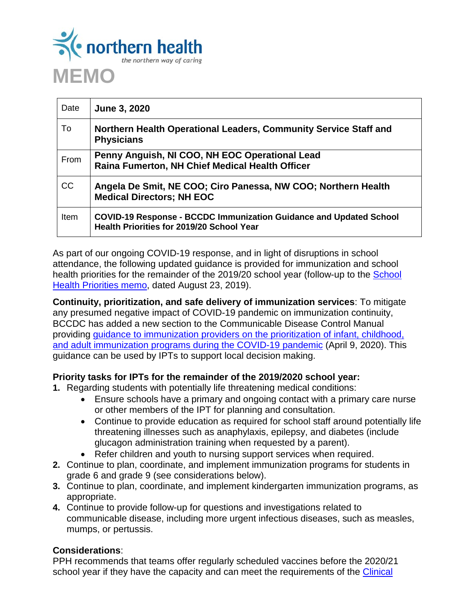

| Date        | June 3, 2020                                                                                                           |
|-------------|------------------------------------------------------------------------------------------------------------------------|
| To.         | Northern Health Operational Leaders, Community Service Staff and<br><b>Physicians</b>                                  |
| From        | Penny Anguish, NI COO, NH EOC Operational Lead<br>Raina Fumerton, NH Chief Medical Health Officer                      |
| <b>CC</b>   | Angela De Smit, NE COO; Ciro Panessa, NW COO; Northern Health<br><b>Medical Directors; NH EOC</b>                      |
| <b>Item</b> | <b>COVID-19 Response - BCCDC Immunization Guidance and Updated School</b><br>Health Priorities for 2019/20 School Year |

As part of our ongoing COVID-19 response, and in light of disruptions in school attendance, the following updated guidance is provided for immunization and school health priorities for the remainder of the 2019/20 school year (follow-up to the [School](https://ournh.northernhealth.ca/oursites/NHCommittees/pandphealth/OurNH%20Documents/2019-08-23%20Memo%20-%20School%20Health%20Planning%202019-20.pdf)  [Health Priorities memo,](https://ournh.northernhealth.ca/oursites/NHCommittees/pandphealth/OurNH%20Documents/2019-08-23%20Memo%20-%20School%20Health%20Planning%202019-20.pdf) dated August 23, 2019).

**Continuity, prioritization, and safe delivery of immunization services**: To mitigate any presumed negative impact of COVID-19 pandemic on immunization continuity, BCCDC has added a new section to the Communicable Disease Control Manual providing [guidance to immunization providers on the prioritization of infant, childhood,](http://www.bccdc.ca/resource-gallery/Documents/Guidelines%20and%20Forms/Guidelines%20and%20Manuals/Epid/CD%20Manual/Chapter%202%20-%20Imms/Continuity_of_Immunization_Services_During_COVID-19.pdf)  [and adult immunization programs during the COVID-19 pandemic](http://www.bccdc.ca/resource-gallery/Documents/Guidelines%20and%20Forms/Guidelines%20and%20Manuals/Epid/CD%20Manual/Chapter%202%20-%20Imms/Continuity_of_Immunization_Services_During_COVID-19.pdf) (April 9, 2020). This guidance can be used by IPTs to support local decision making.

## **Priority tasks for IPTs for the remainder of the 2019/2020 school year:**

- **1.** Regarding students with potentially life threatening medical conditions:
	- Ensure schools have a primary and ongoing contact with a primary care nurse or other members of the IPT for planning and consultation.
	- Continue to provide education as required for school staff around potentially life threatening illnesses such as anaphylaxis, epilepsy, and diabetes (include glucagon administration training when requested by a parent).
	- Refer children and youth to nursing support services when required.
- **2.** Continue to plan, coordinate, and implement immunization programs for students in grade 6 and grade 9 (see considerations below).
- **3.** Continue to plan, coordinate, and implement kindergarten immunization programs, as appropriate.
- **4.** Continue to provide follow-up for questions and investigations related to communicable disease, including more urgent infectious diseases, such as measles, mumps, or pertussis.

## **Considerations**:

PPH recommends that teams offer regularly scheduled vaccines before the 2020/21 school year if they have the capacity and can meet the requirements of the **Clinical**